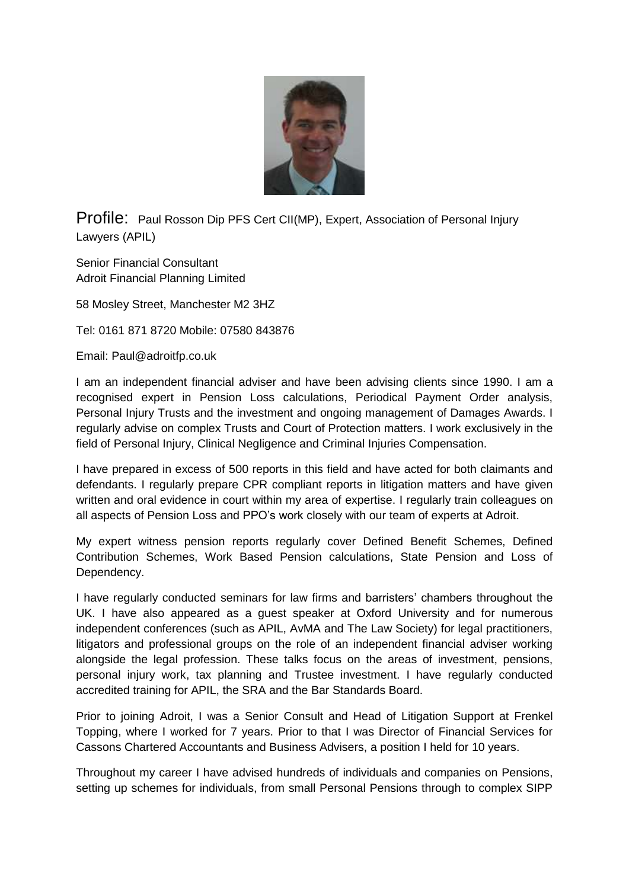

Profile: Paul Rosson Dip PFS Cert CII(MP), Expert, Association of Personal Injury Lawyers (APIL)

Senior Financial Consultant Adroit Financial Planning Limited

58 Mosley Street, Manchester M2 3HZ

Tel: 0161 871 8720 Mobile: 07580 843876

Email: Paul@adroitfp.co.uk

I am an independent financial adviser and have been advising clients since 1990. I am a recognised expert in Pension Loss calculations, Periodical Payment Order analysis, Personal Injury Trusts and the investment and ongoing management of Damages Awards. I regularly advise on complex Trusts and Court of Protection matters. I work exclusively in the field of Personal Injury, Clinical Negligence and Criminal Injuries Compensation.

I have prepared in excess of 500 reports in this field and have acted for both claimants and defendants. I regularly prepare CPR compliant reports in litigation matters and have given written and oral evidence in court within my area of expertise. I regularly train colleagues on all aspects of Pension Loss and PPO's work closely with our team of experts at Adroit.

My expert witness pension reports regularly cover Defined Benefit Schemes, Defined Contribution Schemes, Work Based Pension calculations, State Pension and Loss of Dependency.

I have regularly conducted seminars for law firms and barristers' chambers throughout the UK. I have also appeared as a guest speaker at Oxford University and for numerous independent conferences (such as APIL, AvMA and The Law Society) for legal practitioners, litigators and professional groups on the role of an independent financial adviser working alongside the legal profession. These talks focus on the areas of investment, pensions, personal injury work, tax planning and Trustee investment. I have regularly conducted accredited training for APIL, the SRA and the Bar Standards Board.

Prior to joining Adroit, I was a Senior Consult and Head of Litigation Support at Frenkel Topping, where I worked for 7 years. Prior to that I was Director of Financial Services for Cassons Chartered Accountants and Business Advisers, a position I held for 10 years.

Throughout my career I have advised hundreds of individuals and companies on Pensions, setting up schemes for individuals, from small Personal Pensions through to complex SIPP